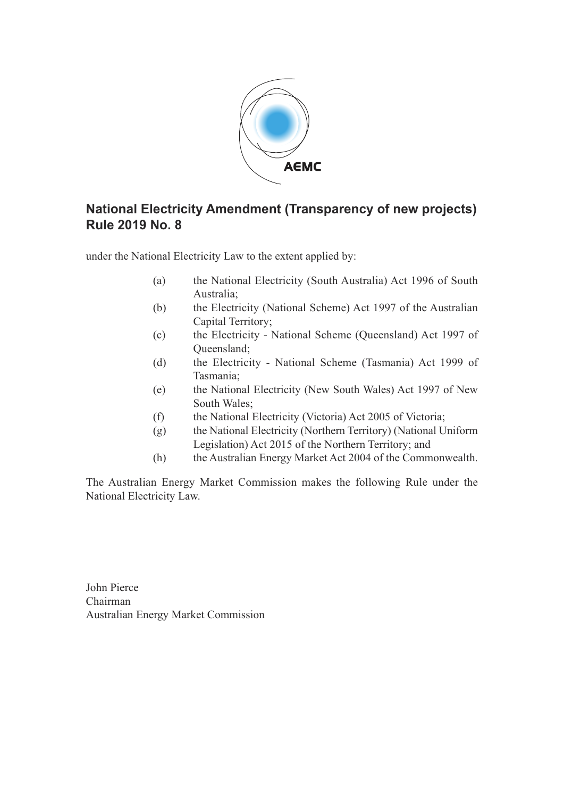

# **National Electricity Amendment (Transparency of new projects) Rule 2019 No. 8**

under the National Electricity Law to the extent applied by:

- (a) the National Electricity (South Australia) Act 1996 of South Australia;
- (b) the Electricity (National Scheme) Act 1997 of the Australian Capital Territory;
- (c) the Electricity National Scheme (Queensland) Act 1997 of Queensland;
- (d) the Electricity National Scheme (Tasmania) Act 1999 of Tasmania;
- (e) the National Electricity (New South Wales) Act 1997 of New South Wales;
- (f) the National Electricity (Victoria) Act 2005 of Victoria;
- (g) the National Electricity (Northern Territory) (National Uniform Legislation) Act 2015 of the Northern Territory; and
- (h) the Australian Energy Market Act 2004 of the Commonwealth.

The Australian Energy Market Commission makes the following Rule under the National Electricity Law.

John Pierce Chairman Australian Energy Market Commission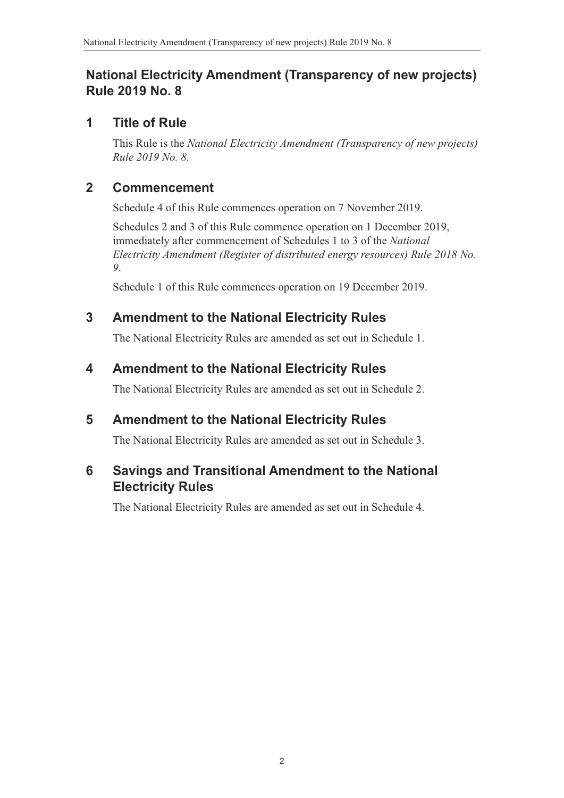# **National Electricity Amendment (Transparency of new projects) Rule 2019 No. 8**

## **1 Title of Rule**

This Rule is the *National Electricity Amendment (Transparency of new projects) Rule 2019 No. 8.*

## **2 Commencement**

Schedule 4 of this Rule commences operation on 7 November 2019.

Schedules 2 and 3 of this Rule commence operation on 1 December 2019, immediately after commencement of Schedules 1 to 3 of the *National Electricity Amendment (Register of distributed energy resources) Rule 2018 No. 9*.

Schedule 1 of this Rule commences operation on 19 December 2019.

# **3 Amendment to the National Electricity Rules**

The National Electricity Rules are amended as set out in Schedule 1.

# **4 Amendment to the National Electricity Rules**

The National Electricity Rules are amended as set out in [Schedule 2.](#page-2-0)

# **5 Amendment to the National Electricity Rules**

The National Electricity Rules are amended as set out in [Schedule 3.](#page-5-0)

# **6 Savings and Transitional Amendment to the National Electricity Rules**

The National Electricity Rules are amended as set out in Schedule 4.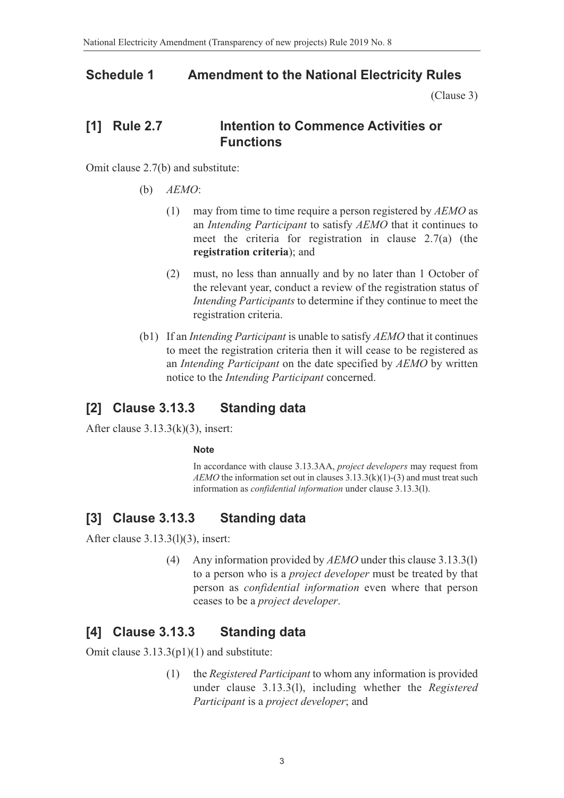### **Schedule 1 Amendment to the National Electricity Rules**

<span id="page-2-0"></span>(Clause 3)

## **[1] Rule 2.7 Intention to Commence Activities or Functions**

Omit clause 2.7(b) and substitute:

- (b) *AEMO*:
	- (1) may from time to time require a person registered by *AEMO* as an *Intending Participant* to satisfy *AEMO* that it continues to meet the criteria for registration in clause 2.7(a) (the **registration criteria**); and
	- (2) must, no less than annually and by no later than 1 October of the relevant year, conduct a review of the registration status of *Intending Participants* to determine if they continue to meet the registration criteria.
- (b1) If an *Intending Participant* is unable to satisfy *AEMO* that it continues to meet the registration criteria then it will cease to be registered as an *Intending Participant* on the date specified by *AEMO* by written notice to the *Intending Participant* concerned.

## **[2] Clause 3.13.3 Standing data**

After clause  $3.13.3(k)(3)$ , insert:

#### **Note**

In accordance with clause 3.13.3AA, *project developers* may request from *AEMO* the information set out in clauses 3.13.3(k)(1)-(3) and must treat such information as *confidential information* under clause 3.13.3(l).

## **[3] Clause 3.13.3 Standing data**

After clause 3.13.3(l)(3), insert:

(4) Any information provided by *AEMO* under this clause 3.13.3(l) to a person who is a *project developer* must be treated by that person as *confidential information* even where that person ceases to be a *project developer*.

## **[4] Clause 3.13.3 Standing data**

Omit clause  $3.13.3(p1)(1)$  and substitute:

(1) the *Registered Participant* to whom any information is provided under clause 3.13.3(l), including whether the *Registered Participant* is a *project developer*; and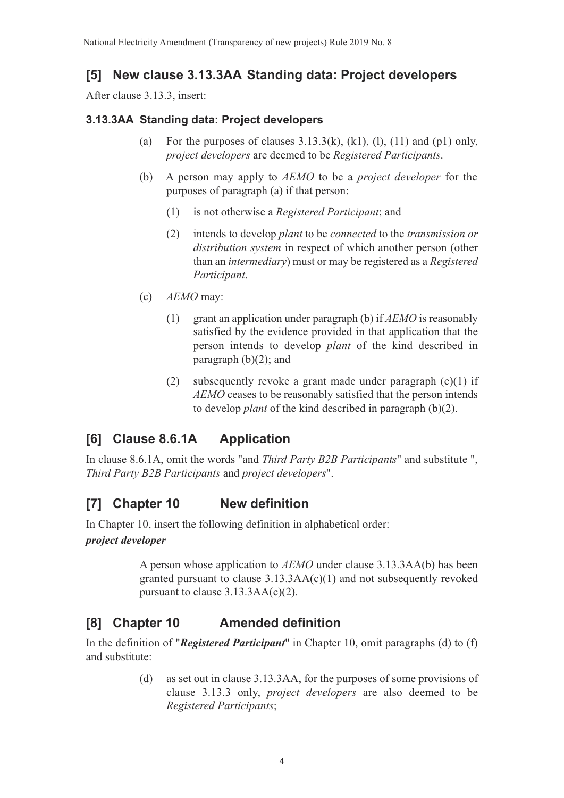## **[5] New clause 3.13.3AA Standing data: Project developers**

After clause 3.13.3, insert:

### **3.13.3AA Standing data: Project developers**

- (a) For the purposes of clauses  $3.13.3(k)$ ,  $(k1)$ ,  $(l)$ ,  $(l1)$  and  $(p1)$  only, *project developers* are deemed to be *Registered Participants*.
- (b) A person may apply to *AEMO* to be a *project developer* for the purposes of paragraph (a) if that person:
	- (1) is not otherwise a *Registered Participant*; and
	- (2) intends to develop *plant* to be *connected* to the *transmission or distribution system* in respect of which another person (other than an *intermediary*) must or may be registered as a *Registered Participant*.
- (c) *AEMO* may:
	- (1) grant an application under paragraph (b) if *AEMO* is reasonably satisfied by the evidence provided in that application that the person intends to develop *plant* of the kind described in paragraph  $(b)(2)$ ; and
	- (2) subsequently revoke a grant made under paragraph  $(c)(1)$  if *AEMO* ceases to be reasonably satisfied that the person intends to develop *plant* of the kind described in paragraph (b)(2).

# **[6] Clause 8.6.1A Application**

In clause 8.6.1A, omit the words "and *Third Party B2B Participants*" and substitute ", *Third Party B2B Participants* and *project developers*".

# **[7] Chapter 10 New definition**

In Chapter 10, insert the following definition in alphabetical order:

### *project developer*

A person whose application to *AEMO* under clause 3.13.3AA(b) has been granted pursuant to clause 3.13.3AA(c)(1) and not subsequently revoked pursuant to clause 3.13.3AA(c)(2).

# **[8] Chapter 10 Amended definition**

In the definition of "*Registered Participant*" in Chapter 10, omit paragraphs (d) to (f) and substitute:

> (d) as set out in clause 3.13.3AA, for the purposes of some provisions of clause 3.13.3 only, *project developers* are also deemed to be *Registered Participants*;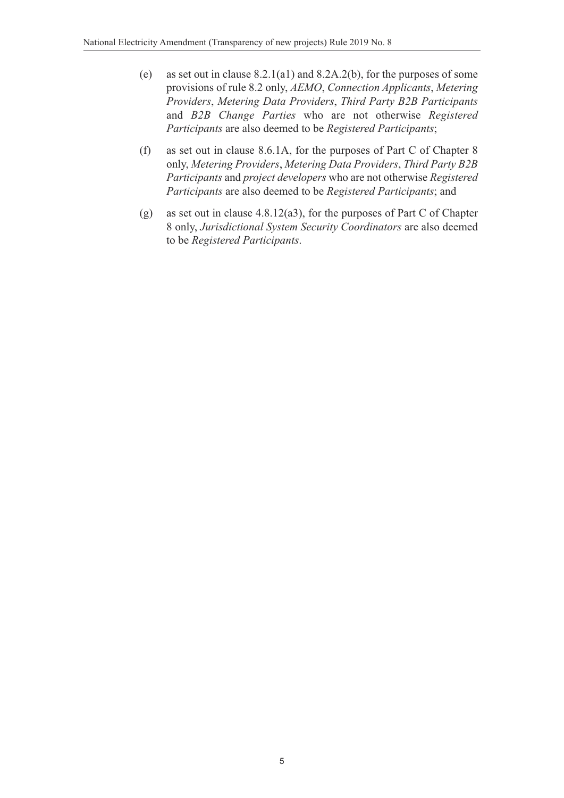- (e) as set out in clause 8.2.1(a1) and 8.2A.2(b), for the purposes of some provisions of rule 8.2 only, *AEMO*, *Connection Applicants*, *Metering Providers*, *Metering Data Providers*, *Third Party B2B Participants* and *B2B Change Parties* who are not otherwise *Registered Participants* are also deemed to be *Registered Participants*;
- (f) as set out in clause 8.6.1A, for the purposes of Part C of Chapter 8 only, *Metering Providers*, *Metering Data Providers*, *Third Party B2B Participants* and *project developers* who are not otherwise *Registered Participants* are also deemed to be *Registered Participants*; and
- (g) as set out in clause 4.8.12(a3), for the purposes of Part C of Chapter 8 only, *Jurisdictional System Security Coordinators* are also deemed to be *Registered Participants*.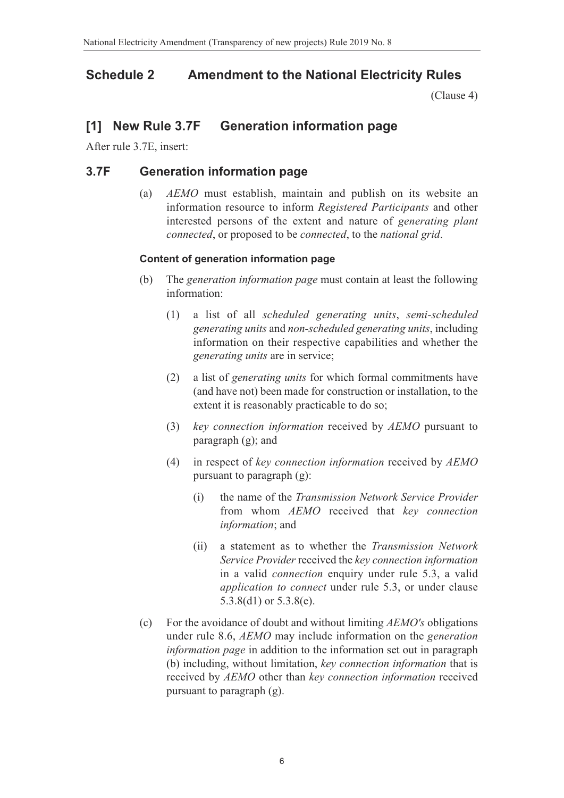### **Schedule 2 Amendment to the National Electricity Rules**

<span id="page-5-0"></span>(Clause 4)

### **[1] New Rule 3.7F Generation information page**

After rule 3.7E, insert:

### **3.7F Generation information page**

(a) *AEMO* must establish, maintain and publish on its website an information resource to inform *Registered Participants* and other interested persons of the extent and nature of *generating plant connected*, or proposed to be *connected*, to the *national grid*.

#### **Content of generation information page**

- (b) The *generation information page* must contain at least the following information:
	- (1) a list of all *scheduled generating units*, *semi-scheduled generating units* and *non-scheduled generating units*, including information on their respective capabilities and whether the *generating units* are in service;
	- (2) a list of *generating units* for which formal commitments have (and have not) been made for construction or installation, to the extent it is reasonably practicable to do so;
	- (3) *key connection information* received by *AEMO* pursuant to paragraph (g); and
	- (4) in respect of *key connection information* received by *AEMO* pursuant to paragraph (g):
		- (i) the name of the *Transmission Network Service Provider* from whom *AEMO* received that *key connection information*; and
		- (ii) a statement as to whether the *Transmission Network Service Provider* received the *key connection information* in a valid *connection* enquiry under rule 5.3, a valid *application to connect* under rule 5.3, or under clause 5.3.8(d1) or 5.3.8(e).
- (c) For the avoidance of doubt and without limiting *AEMO's* obligations under rule 8.6, *AEMO* may include information on the *generation information page* in addition to the information set out in paragraph (b) including, without limitation, *key connection information* that is received by *AEMO* other than *key connection information* received pursuant to paragraph (g).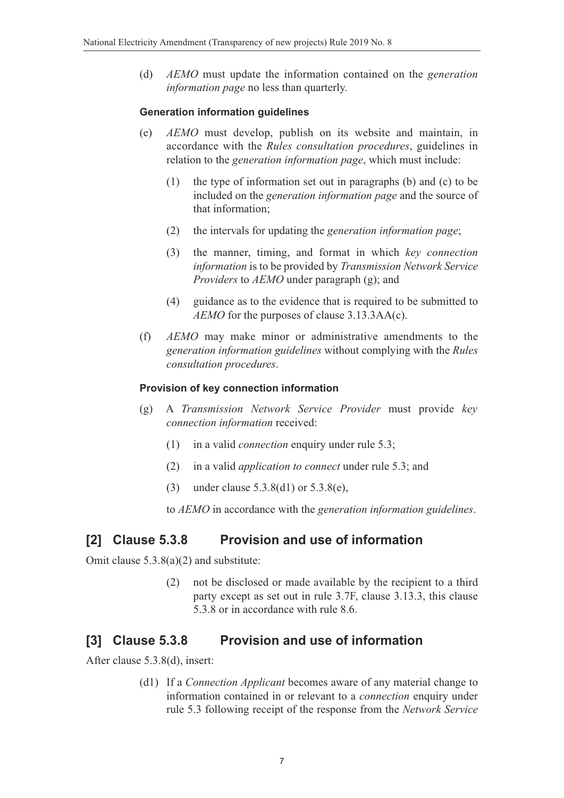(d) *AEMO* must update the information contained on the *generation information page* no less than quarterly.

#### **Generation information guidelines**

- (e) *AEMO* must develop, publish on its website and maintain, in accordance with the *Rules consultation procedures*, guidelines in relation to the *generation information page*, which must include:
	- (1) the type of information set out in paragraphs (b) and (c) to be included on the *generation information page* and the source of that information;
	- (2) the intervals for updating the *generation information page*;
	- (3) the manner, timing, and format in which *key connection information* is to be provided by *Transmission Network Service Providers* to *AEMO* under paragraph (g); and
	- (4) guidance as to the evidence that is required to be submitted to *AEMO* for the purposes of clause 3.13.3AA(c).
- (f) *AEMO* may make minor or administrative amendments to the *generation information guidelines* without complying with the *Rules consultation procedures*.

### **Provision of key connection information**

- (g) A *Transmission Network Service Provider* must provide *key connection information* received:
	- (1) in a valid *connection* enquiry under rule 5.3;
	- (2) in a valid *application to connect* under rule 5.3; and
	- (3) under clause 5.3.8(d1) or 5.3.8(e),

to *AEMO* in accordance with the *generation information guidelines*.

## **[2] Clause 5.3.8 Provision and use of information**

Omit clause 5.3.8(a)(2) and substitute:

(2) not be disclosed or made available by the recipient to a third party except as set out in rule 3.7F, clause 3.13.3, this clause 5.3.8 or in accordance with rule 8.6.

## **[3] Clause 5.3.8 Provision and use of information**

After clause 5.3.8(d), insert:

(d1) If a *Connection Applicant* becomes aware of any material change to information contained in or relevant to a *connection* enquiry under rule 5.3 following receipt of the response from the *Network Service*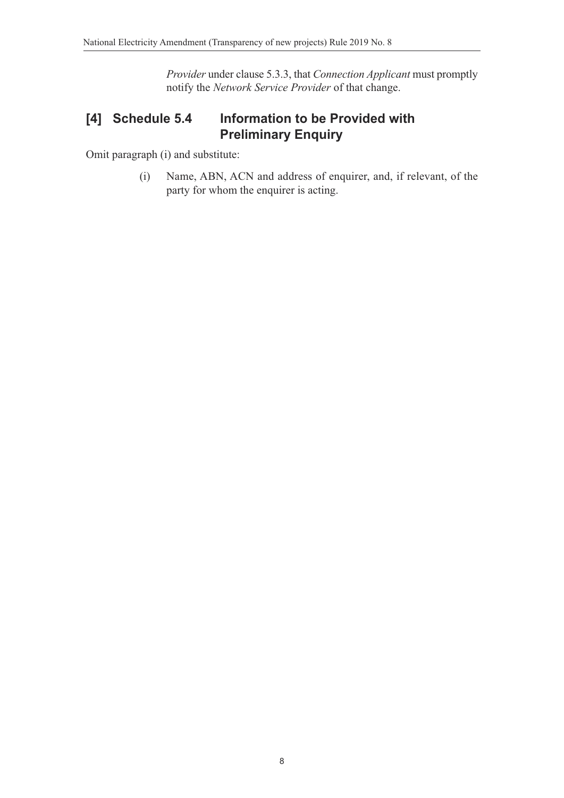*Provider* under clause 5.3.3, that *Connection Applicant* must promptly notify the *Network Service Provider* of that change.

# **[4] Schedule 5.4 Information to be Provided with Preliminary Enquiry**

Omit paragraph (i) and substitute:

(i) Name, ABN, ACN and address of enquirer, and, if relevant, of the party for whom the enquirer is acting.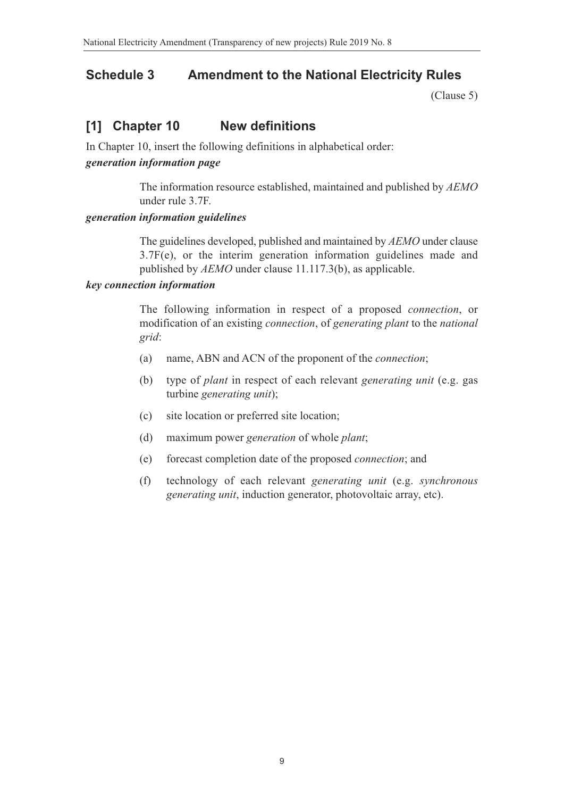## **Schedule 3 Amendment to the National Electricity Rules**

(Clause 5)

## **[1] Chapter 10 New definitions**

In Chapter 10, insert the following definitions in alphabetical order:

#### *generation information page*

The information resource established, maintained and published by *AEMO* under rule 3.7F.

#### *generation information guidelines*

The guidelines developed, published and maintained by *AEMO* under clause 3.7F(e), or the interim generation information guidelines made and published by *AEMO* under clause 11.117.3(b), as applicable.

#### *key connection information*

The following information in respect of a proposed *connection*, or modification of an existing *connection*, of *generating plant* to the *national grid*:

- (a) name, ABN and ACN of the proponent of the *connection*;
- (b) type of *plant* in respect of each relevant *generating unit* (e.g. gas turbine *generating unit*);
- (c) site location or preferred site location;
- (d) maximum power *generation* of whole *plant*;
- (e) forecast completion date of the proposed *connection*; and
- (f) technology of each relevant *generating unit* (e.g. *synchronous generating unit*, induction generator, photovoltaic array, etc).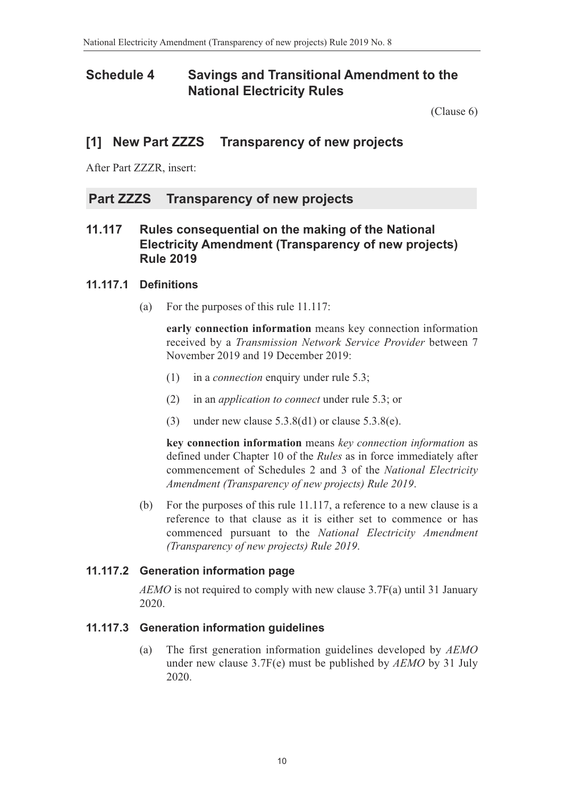## **Schedule 4 Savings and Transitional Amendment to the National Electricity Rules**

(Clause 6)

## **[1] New Part ZZZS Transparency of new projects**

After Part ZZZR, insert:

### **Part ZZZS Transparency of new projects**

### **11.117 Rules consequential on the making of the National Electricity Amendment (Transparency of new projects) Rule 2019**

### **11.117.1 Definitions**

(a) For the purposes of this rule 11.117:

**early connection information** means key connection information received by a *Transmission Network Service Provider* between 7 November 2019 and 19 December 2019:

- (1) in a *connection* enquiry under rule 5.3;
- (2) in an *application to connect* under rule 5.3; or
- (3) under new clause  $5.3.8(d1)$  or clause  $5.3.8(e)$ .

**key connection information** means *key connection information* as defined under Chapter 10 of the *Rules* as in force immediately after commencement of Schedules 2 and 3 of the *National Electricity Amendment (Transparency of new projects) Rule 2019*.

(b) For the purposes of this rule 11.117, a reference to a new clause is a reference to that clause as it is either set to commence or has commenced pursuant to the *National Electricity Amendment (Transparency of new projects) Rule 2019*.

### **11.117.2 Generation information page**

*AEMO* is not required to comply with new clause 3.7F(a) until 31 January 2020.

### **11.117.3 Generation information guidelines**

(a) The first generation information guidelines developed by *AEMO* under new clause 3.7F(e) must be published by *AEMO* by 31 July 2020.